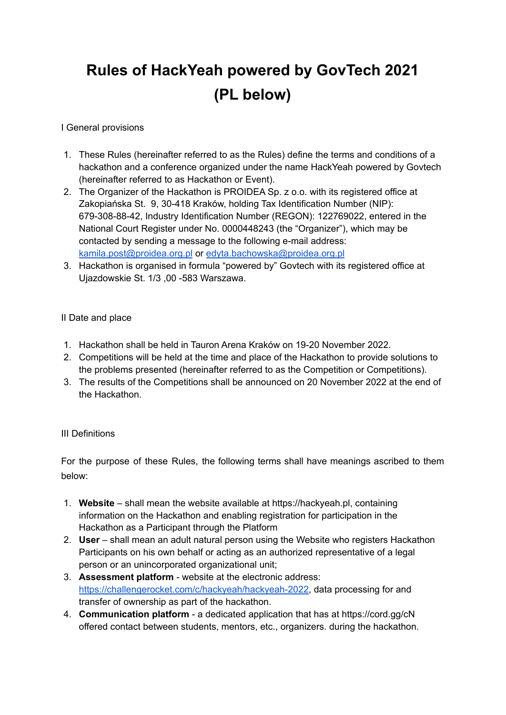# **Rules of HackYeah powered by GovTech 2021 (PL below)**

#### I General provisions

- 1. These Rules (hereinafter referred to as the Rules) define the terms and conditions of a hackathon and a conference organized under the name HackYeah powered by Govtech (hereinafter referred to as Hackathon or Event).
- 2. The Organizer of the Hackathon is PROIDEA Sp. z o.o. with its registered office at Zakopiańska St. 9, 30-418 Kraków, holding Tax Identification Number (NIP): 679-308-88-42, Industry Identification Number (REGON): 122769022, entered in the National Court Register under No. 0000448243 (the "Organizer"), which may be contacted by sending a message to the following e-mail address: kamila.post@proidea.org.pl or edyta.bachowska@proidea.org.pl
- 3. Hackathon is organised in formula "powered by" Govtech with its registered office at Ujazdowskie St. 1/3 ,00 -583 Warszawa.

#### II Date and place

- 1. Hackathon shall be held in Tauron Arena Kraków on 19-20 November 2022.
- 2. Competitions will be held at the time and place of the Hackathon to provide solutions to the problems presented (hereinafter referred to as the Competition or Competitions).
- 3. The results of the Competitions shall be announced on 20 November 2022 at the end of the Hackathon.

#### III Definitions

For the purpose of these Rules, the following terms shall have meanings ascribed to them below:

- 1. **Website** shall mean the website available at https://hackyeah.pl, containing information on the Hackathon and enabling registration for participation in the Hackathon as a Participant through the Platform
- 2. **User** shall mean an adult natural person using the Website who registers Hackathon Participants on his own behalf or acting as an authorized representative of a legal person or an unincorporated organizational unit;
- 3. **Assessment platform** website at the electronic address: [https://challengerocket.com/c/hackyeah/hackyeah-2022,](https://challengerocket.com/c/hackyeah/hackyeah-2022) data processing for and transfer of ownership as part of the hackathon.
- 4. **Communication platform** a dedicated application that has at https://cord.gg/cN offered contact between students, mentors, etc., organizers. during the hackathon.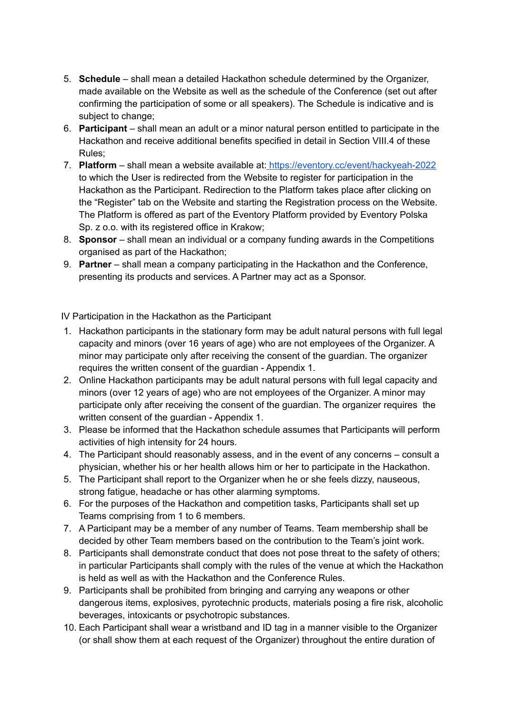- 5. **Schedule** shall mean a detailed Hackathon schedule determined by the Organizer, made available on the Website as well as the schedule of the Conference (set out after confirming the participation of some or all speakers). The Schedule is indicative and is subject to change;
- 6. **Participant** shall mean an adult or a minor natural person entitled to participate in the Hackathon and receive additional benefits specified in detail in Section VIII.4 of these Rules;
- 7. **Platform** shall mean a website available at: <https://eventory.cc/event/hackyeah-2022> to which the User is redirected from the Website to register for participation in the Hackathon as the Participant. Redirection to the Platform takes place after clicking on the "Register" tab on the Website and starting the Registration process on the Website. The Platform is offered as part of the Eventory Platform provided by Eventory Polska Sp. z o.o. with its registered office in Krakow;
- 8. **Sponsor** shall mean an individual or a company funding awards in the Competitions organised as part of the Hackathon;
- 9. **Partner** shall mean a company participating in the Hackathon and the Conference, presenting its products and services. A Partner may act as a Sponsor.

IV Participation in the Hackathon as the Participant

- 1. Hackathon participants in the stationary form may be adult natural persons with full legal capacity and minors (over 16 years of age) who are not employees of the Organizer. A minor may participate only after receiving the consent of the guardian. The organizer requires the written consent of the guardian - Appendix 1.
- 2. Online Hackathon participants may be adult natural persons with full legal capacity and minors (over 12 years of age) who are not employees of the Organizer. A minor may participate only after receiving the consent of the guardian. The organizer requires the written consent of the guardian - Appendix 1.
- 3. Please be informed that the Hackathon schedule assumes that Participants will perform activities of high intensity for 24 hours.
- 4. The Participant should reasonably assess, and in the event of any concerns consult a physician, whether his or her health allows him or her to participate in the Hackathon.
- 5. The Participant shall report to the Organizer when he or she feels dizzy, nauseous, strong fatigue, headache or has other alarming symptoms.
- 6. For the purposes of the Hackathon and competition tasks, Participants shall set up Teams comprising from 1 to 6 members.
- 7. A Participant may be a member of any number of Teams. Team membership shall be decided by other Team members based on the contribution to the Team's joint work.
- 8. Participants shall demonstrate conduct that does not pose threat to the safety of others; in particular Participants shall comply with the rules of the venue at which the Hackathon is held as well as with the Hackathon and the Conference Rules.
- 9. Participants shall be prohibited from bringing and carrying any weapons or other dangerous items, explosives, pyrotechnic products, materials posing a fire risk, alcoholic beverages, intoxicants or psychotropic substances.
- 10. Each Participant shall wear a wristband and ID tag in a manner visible to the Organizer (or shall show them at each request of the Organizer) throughout the entire duration of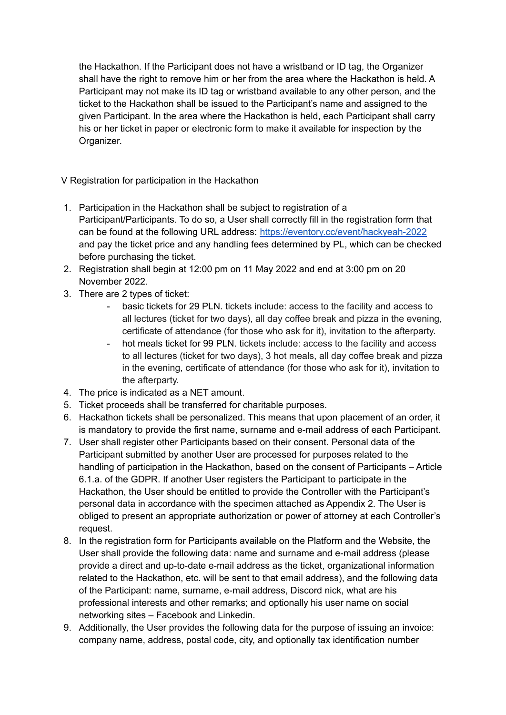the Hackathon. If the Participant does not have a wristband or ID tag, the Organizer shall have the right to remove him or her from the area where the Hackathon is held. A Participant may not make its ID tag or wristband available to any other person, and the ticket to the Hackathon shall be issued to the Participant's name and assigned to the given Participant. In the area where the Hackathon is held, each Participant shall carry his or her ticket in paper or electronic form to make it available for inspection by the Organizer.

V Registration for participation in the Hackathon

- 1. Participation in the Hackathon shall be subject to registration of a Participant/Participants. To do so, a User shall correctly fill in the registration form that can be found at the following URL address: <https://eventory.cc/event/hackyeah-2022> and pay the ticket price and any handling fees determined by PL, which can be checked before purchasing the ticket.
- 2. Registration shall begin at 12:00 pm on 11 May 2022 and end at 3:00 pm on 20 November 2022.
- 3. There are 2 types of ticket:
	- basic tickets for 29 PLN. tickets include: access to the facility and access to all lectures (ticket for two days), all day coffee break and pizza in the evening, certificate of attendance (for those who ask for it), invitation to the afterparty.
	- hot meals ticket for 99 PLN. tickets include: access to the facility and access to all lectures (ticket for two days), 3 hot meals, all day coffee break and pizza in the evening, certificate of attendance (for those who ask for it), invitation to the afterparty.
- 4. The price is indicated as a NET amount.
- 5. Ticket proceeds shall be transferred for charitable purposes.
- 6. Hackathon tickets shall be personalized. This means that upon placement of an order, it is mandatory to provide the first name, surname and e-mail address of each Participant.
- 7. User shall register other Participants based on their consent. Personal data of the Participant submitted by another User are processed for purposes related to the handling of participation in the Hackathon, based on the consent of Participants – Article 6.1.a. of the GDPR. If another User registers the Participant to participate in the Hackathon, the User should be entitled to provide the Controller with the Participant's personal data in accordance with the specimen attached as Appendix 2. The User is obliged to present an appropriate authorization or power of attorney at each Controller's request.
- 8. In the registration form for Participants available on the Platform and the Website, the User shall provide the following data: name and surname and e-mail address (please provide a direct and up-to-date e-mail address as the ticket, organizational information related to the Hackathon, etc. will be sent to that email address), and the following data of the Participant: name, surname, e-mail address, Discord nick, what are his professional interests and other remarks; and optionally his user name on social networking sites – Facebook and Linkedin.
- 9. Additionally, the User provides the following data for the purpose of issuing an invoice: company name, address, postal code, city, and optionally tax identification number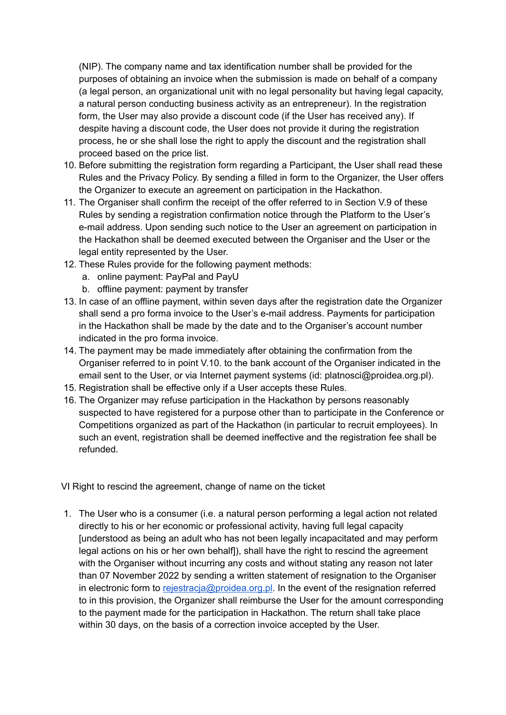(NIP). The company name and tax identification number shall be provided for the purposes of obtaining an invoice when the submission is made on behalf of a company (a legal person, an organizational unit with no legal personality but having legal capacity, a natural person conducting business activity as an entrepreneur). In the registration form, the User may also provide a discount code (if the User has received any). If despite having a discount code, the User does not provide it during the registration process, he or she shall lose the right to apply the discount and the registration shall proceed based on the price list.

- 10. Before submitting the registration form regarding a Participant, the User shall read these Rules and the Privacy Policy. By sending a filled in form to the Organizer, the User offers the Organizer to execute an agreement on participation in the Hackathon.
- 11. The Organiser shall confirm the receipt of the offer referred to in Section V.9 of these Rules by sending a registration confirmation notice through the Platform to the User's e-mail address. Upon sending such notice to the User an agreement on participation in the Hackathon shall be deemed executed between the Organiser and the User or the legal entity represented by the User.
- 12. These Rules provide for the following payment methods:
	- a. online payment: PayPal and PayU
	- b. offline payment: payment by transfer
- 13. In case of an offline payment, within seven days after the registration date the Organizer shall send a pro forma invoice to the User's e-mail address. Payments for participation in the Hackathon shall be made by the date and to the Organiser's account number indicated in the pro forma invoice.
- 14. The payment may be made immediately after obtaining the confirmation from the Organiser referred to in point V.10. to the bank account of the Organiser indicated in the email sent to the User, or via Internet payment systems (id: platnosci@proidea.org.pl).
- 15. Registration shall be effective only if a User accepts these Rules.
- 16. The Organizer may refuse participation in the Hackathon by persons reasonably suspected to have registered for a purpose other than to participate in the Conference or Competitions organized as part of the Hackathon (in particular to recruit employees). In such an event, registration shall be deemed ineffective and the registration fee shall be refunded.

VI Right to rescind the agreement, change of name on the ticket

1. The User who is a consumer (i.e. a natural person performing a legal action not related directly to his or her economic or professional activity, having full legal capacity [understood as being an adult who has not been legally incapacitated and may perform legal actions on his or her own behalf]), shall have the right to rescind the agreement with the Organiser without incurring any costs and without stating any reason not later than 07 November 2022 by sending a written statement of resignation to the Organiser in electronic form to rejestracja@proidea.org.pl. In the event of the resignation referred to in this provision, the Organizer shall reimburse the User for the amount corresponding to the payment made for the participation in Hackathon. The return shall take place within 30 days, on the basis of a correction invoice accepted by the User.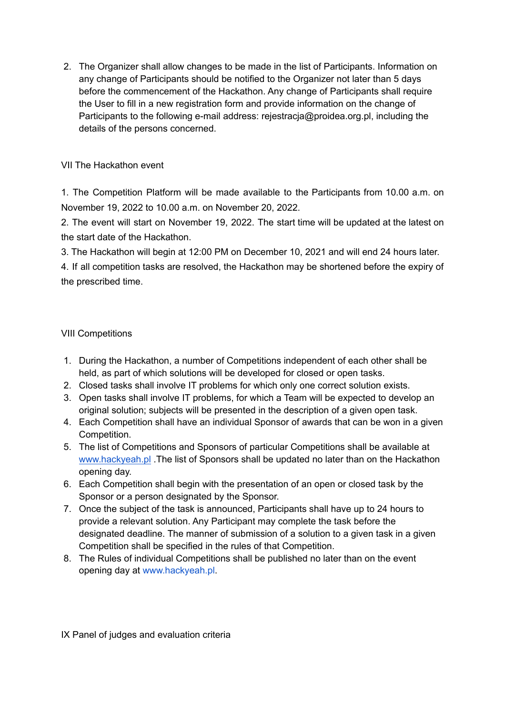2. The Organizer shall allow changes to be made in the list of Participants. Information on any change of Participants should be notified to the Organizer not later than 5 days before the commencement of the Hackathon. Any change of Participants shall require the User to fill in a new registration form and provide information on the change of Participants to the following e-mail address: rejestracja@proidea.org.pl, including the details of the persons concerned.

#### VII The Hackathon event

1. The Competition Platform will be made available to the Participants from 10.00 a.m. on November 19, 2022 to 10.00 a.m. on November 20, 2022.

2. The event will start on November 19, 2022. The start time will be updated at the latest on the start date of the Hackathon.

3. The Hackathon will begin at 12:00 PM on December 10, 2021 and will end 24 hours later.

4. If all competition tasks are resolved, the Hackathon may be shortened before the expiry of the prescribed time.

#### VIII Competitions

- 1. During the Hackathon, a number of Competitions independent of each other shall be held, as part of which solutions will be developed for closed or open tasks.
- 2. Closed tasks shall involve IT problems for which only one correct solution exists.
- 3. Open tasks shall involve IT problems, for which a Team will be expected to develop an original solution; subjects will be presented in the description of a given open task.
- 4. Each Competition shall have an individual Sponsor of awards that can be won in a given Competition.
- 5. The list of Competitions and Sponsors of particular Competitions shall be available a[t](http://www.hackyeah.pl/) [www.hackyeah.pl](http://www.hackyeah.pl/) .The list of Sponsors shall be updated no later than on the Hackathon opening day.
- 6. Each Competition shall begin with the presentation of an open or closed task by the Sponsor or a person designated by the Sponsor.
- 7. Once the subject of the task is announced, Participants shall have up to 24 hours to provide a relevant solution. Any Participant may complete the task before the designated deadline. The manner of submission of a solution to a given task in a given Competition shall be specified in the rules of that Competition.
- 8. The Rules of individual Competitions shall be published no later than on the event opening day at www.hackyeah.pl.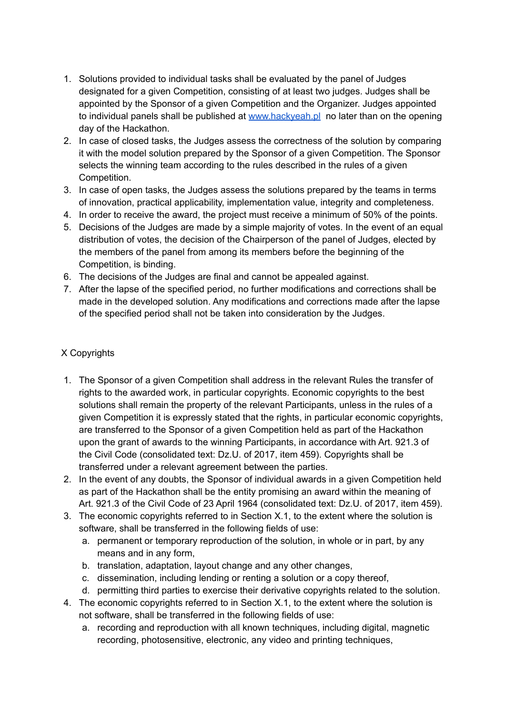- 1. Solutions provided to individual tasks shall be evaluated by the panel of Judges designated for a given Competition, consisting of at least two judges. Judges shall be appointed by the Sponsor of a given Competition and the Organizer. Judges appointed to individual panels shall be published at [www.hackyeah.pl](http://www.hackyeah.pl/) no later than on the opening day of the Hackathon.
- 2. In case of closed tasks, the Judges assess the correctness of the solution by comparing it with the model solution prepared by the Sponsor of a given Competition. The Sponsor selects the winning team according to the rules described in the rules of a given Competition.
- 3. In case of open tasks, the Judges assess the solutions prepared by the teams in terms of innovation, practical applicability, implementation value, integrity and completeness.
- 4. In order to receive the award, the project must receive a minimum of 50% of the points.
- 5. Decisions of the Judges are made by a simple majority of votes. In the event of an equal distribution of votes, the decision of the Chairperson of the panel of Judges, elected by the members of the panel from among its members before the beginning of the Competition, is binding.
- 6. The decisions of the Judges are final and cannot be appealed against.
- 7. After the lapse of the specified period, no further modifications and corrections shall be made in the developed solution. Any modifications and corrections made after the lapse of the specified period shall not be taken into consideration by the Judges.

#### X Copyrights

- 1. The Sponsor of a given Competition shall address in the relevant Rules the transfer of rights to the awarded work, in particular copyrights. Economic copyrights to the best solutions shall remain the property of the relevant Participants, unless in the rules of a given Competition it is expressly stated that the rights, in particular economic copyrights, are transferred to the Sponsor of a given Competition held as part of the Hackathon upon the grant of awards to the winning Participants, in accordance with Art. 921.3 of the Civil Code (consolidated text: Dz.U. of 2017, item 459). Copyrights shall be transferred under a relevant agreement between the parties.
- 2. In the event of any doubts, the Sponsor of individual awards in a given Competition held as part of the Hackathon shall be the entity promising an award within the meaning of Art. 921.3 of the Civil Code of 23 April 1964 (consolidated text: Dz.U. of 2017, item 459).
- 3. The economic copyrights referred to in Section X.1, to the extent where the solution is software, shall be transferred in the following fields of use:
	- a. permanent or temporary reproduction of the solution, in whole or in part, by any means and in any form,
	- b. translation, adaptation, layout change and any other changes,
	- c. dissemination, including lending or renting a solution or a copy thereof,
	- d. permitting third parties to exercise their derivative copyrights related to the solution.
- 4. The economic copyrights referred to in Section X.1, to the extent where the solution is not software, shall be transferred in the following fields of use:
	- a. recording and reproduction with all known techniques, including digital, magnetic recording, photosensitive, electronic, any video and printing techniques,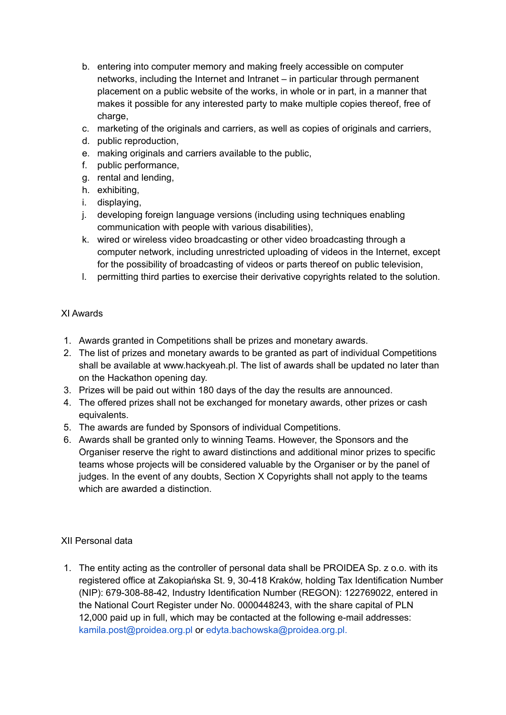- b. entering into computer memory and making freely accessible on computer networks, including the Internet and Intranet – in particular through permanent placement on a public website of the works, in whole or in part, in a manner that makes it possible for any interested party to make multiple copies thereof, free of charge,
- c. marketing of the originals and carriers, as well as copies of originals and carriers,
- d. public reproduction,
- e. making originals and carriers available to the public,
- f. public performance,
- g. rental and lending,
- h. exhibiting,
- i. displaying,
- j. developing foreign language versions (including using techniques enabling communication with people with various disabilities),
- k. wired or wireless video broadcasting or other video broadcasting through a computer network, including unrestricted uploading of videos in the Internet, except for the possibility of broadcasting of videos or parts thereof on public television,
- l. permitting third parties to exercise their derivative copyrights related to the solution.

#### XI Awards

- 1. Awards granted in Competitions shall be prizes and monetary awards.
- 2. The list of prizes and monetary awards to be granted as part of individual Competitions shall be available at www.hackyeah.pl. The list of awards shall be updated no later than on the Hackathon opening day.
- 3. Prizes will be paid out within 180 days of the day the results are announced.
- 4. The offered prizes shall not be exchanged for monetary awards, other prizes or cash equivalents.
- 5. The awards are funded by Sponsors of individual Competitions.
- 6. Awards shall be granted only to winning Teams. However, the Sponsors and the Organiser reserve the right to award distinctions and additional minor prizes to specific teams whose projects will be considered valuable by the Organiser or by the panel of judges. In the event of any doubts, Section X Copyrights shall not apply to the teams which are awarded a distinction

#### XII Personal data

1. The entity acting as the controller of personal data shall be PROIDEA Sp. z o.o. with its registered office at Zakopiańska St. 9, 30-418 Kraków, holding Tax Identification Number (NIP): 679-308-88-42, Industry Identification Number (REGON): 122769022, entered in the National Court Register under No. 0000448243, with the share capital of PLN 12,000 paid up in full, which may be contacted at the following e-mail addresses: kamila.post@proidea.org.pl or edyta.bachowska@proidea.org.pl.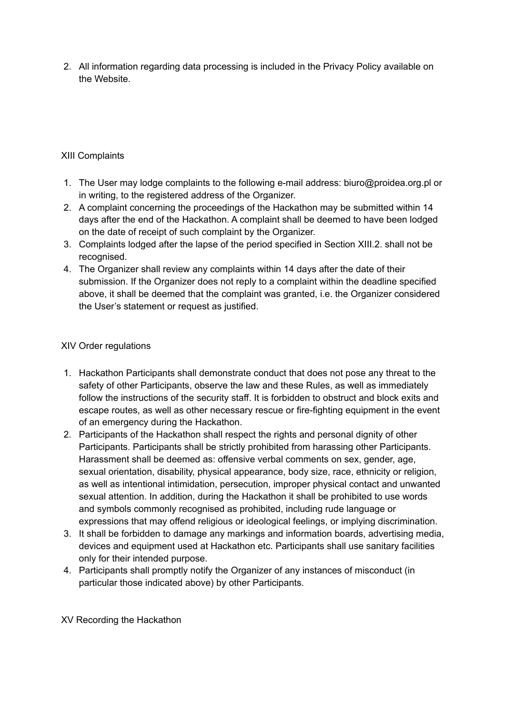2. All information regarding data processing is included in the Privacy Policy available on the Website.

#### XIII Complaints

- 1. The User may lodge complaints to the following e-mail address: biuro@proidea.org.pl or in writing, to the registered address of the Organizer.
- 2. A complaint concerning the proceedings of the Hackathon may be submitted within 14 days after the end of the Hackathon. A complaint shall be deemed to have been lodged on the date of receipt of such complaint by the Organizer.
- 3. Complaints lodged after the lapse of the period specified in Section XIII.2. shall not be recognised.
- 4. The Organizer shall review any complaints within 14 days after the date of their submission. If the Organizer does not reply to a complaint within the deadline specified above, it shall be deemed that the complaint was granted, i.e. the Organizer considered the User's statement or request as justified.

#### XIV Order regulations

- 1. Hackathon Participants shall demonstrate conduct that does not pose any threat to the safety of other Participants, observe the law and these Rules, as well as immediately follow the instructions of the security staff. It is forbidden to obstruct and block exits and escape routes, as well as other necessary rescue or fire-fighting equipment in the event of an emergency during the Hackathon.
- 2. Participants of the Hackathon shall respect the rights and personal dignity of other Participants. Participants shall be strictly prohibited from harassing other Participants. Harassment shall be deemed as: offensive verbal comments on sex, gender, age, sexual orientation, disability, physical appearance, body size, race, ethnicity or religion, as well as intentional intimidation, persecution, improper physical contact and unwanted sexual attention. In addition, during the Hackathon it shall be prohibited to use words and symbols commonly recognised as prohibited, including rude language or expressions that may offend religious or ideological feelings, or implying discrimination.
- 3. It shall be forbidden to damage any markings and information boards, advertising media, devices and equipment used at Hackathon etc. Participants shall use sanitary facilities only for their intended purpose.
- 4. Participants shall promptly notify the Organizer of any instances of misconduct (in particular those indicated above) by other Participants.

XV Recording the Hackathon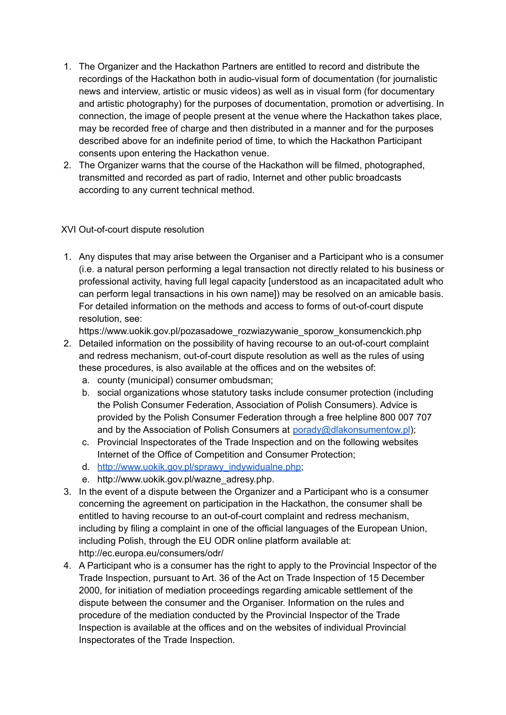- 1. The Organizer and the Hackathon Partners are entitled to record and distribute the recordings of the Hackathon both in audio-visual form of documentation (for journalistic news and interview, artistic or music videos) as well as in visual form (for documentary and artistic photography) for the purposes of documentation, promotion or advertising. In connection, the image of people present at the venue where the Hackathon takes place, may be recorded free of charge and then distributed in a manner and for the purposes described above for an indefinite period of time, to which the Hackathon Participant consents upon entering the Hackathon venue.
- 2. The Organizer warns that the course of the Hackathon will be filmed, photographed, transmitted and recorded as part of radio, Internet and other public broadcasts according to any current technical method.

#### XVI Out-of-court dispute resolution

1. Any disputes that may arise between the Organiser and a Participant who is a consumer (i.e. a natural person performing a legal transaction not directly related to his business or professional activity, having full legal capacity [understood as an incapacitated adult who can perform legal transactions in his own name]) may be resolved on an amicable basis. For detailed information on the methods and access to forms of out-of-court dispute resolution, see:

https://www.uokik.gov.pl/pozasadowe\_rozwiazywanie\_sporow\_konsumenckich.php

- 2. Detailed information on the possibility of having recourse to an out-of-court complaint and redress mechanism, out-of-court dispute resolution as well as the rules of using these procedures, is also available at the offices and on the websites of:
	- a. county (municipal) consumer ombudsman;
	- b. social organizations whose statutory tasks include consumer protection (including the Polish Consumer Federation, Association of Polish Consumers). Advice is provided by the Polish Consumer Federation through a free helpline 800 007 707 and by the Association of Polish Consumers at porady@dlakonsumentow.pl);
	- c. Provincial Inspectorates of the Trade Inspection and on the following websites Internet of the Office of Competition and Consumer Protection;
	- d. [http://www.uokik.gov.pl/sprawy\\_indywidualne.php;](http://www.uokik.gov.pl/sprawy_indywidualne.php)
	- e. http://www.uokik.gov.pl/wazne\_adresy.php.
- 3. In the event of a dispute between the Organizer and a Participant who is a consumer concerning the agreement on participation in the Hackathon, the consumer shall be entitled to having recourse to an out-of-court complaint and redress mechanism, including by filing a complaint in one of the official languages of the European Union, including Polish, through the EU ODR online platform available at: http://ec.europa.eu/consumers/odr/
- 4. A Participant who is a consumer has the right to apply to the Provincial Inspector of the Trade Inspection, pursuant to Art. 36 of the Act on Trade Inspection of 15 December 2000, for initiation of mediation proceedings regarding amicable settlement of the dispute between the consumer and the Organiser. Information on the rules and procedure of the mediation conducted by the Provincial Inspector of the Trade Inspection is available at the offices and on the websites of individual Provincial Inspectorates of the Trade Inspection.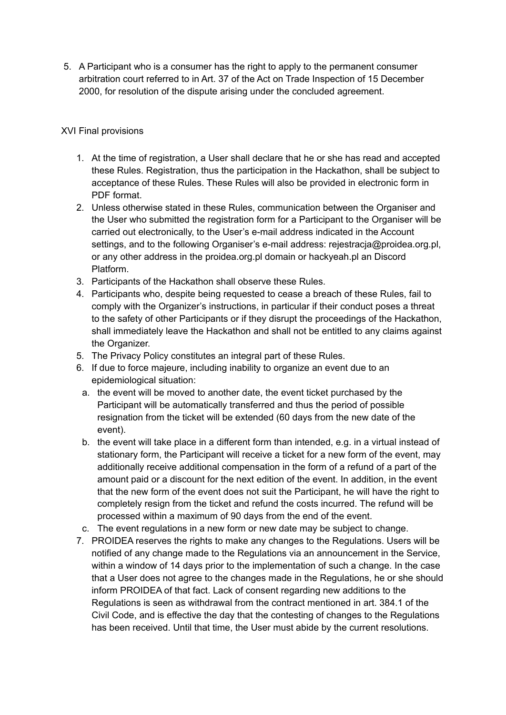5. A Participant who is a consumer has the right to apply to the permanent consumer arbitration court referred to in Art. 37 of the Act on Trade Inspection of 15 December 2000, for resolution of the dispute arising under the concluded agreement.

#### XVI Final provisions

- 1. At the time of registration, a User shall declare that he or she has read and accepted these Rules. Registration, thus the participation in the Hackathon, shall be subject to acceptance of these Rules. These Rules will also be provided in electronic form in PDF format.
- 2. Unless otherwise stated in these Rules, communication between the Organiser and the User who submitted the registration form for a Participant to the Organiser will be carried out electronically, to the User's e-mail address indicated in the Account settings, and to the following Organiser's e-mail address: rejestracja@proidea.org.pl, or any other address in the proidea.org.pl domain or hackyeah.pl an Discord Platform.
- 3. Participants of the Hackathon shall observe these Rules.
- 4. Participants who, despite being requested to cease a breach of these Rules, fail to comply with the Organizer's instructions, in particular if their conduct poses a threat to the safety of other Participants or if they disrupt the proceedings of the Hackathon, shall immediately leave the Hackathon and shall not be entitled to any claims against the Organizer.
- 5. The Privacy Policy constitutes an integral part of these Rules.
- 6. If due to force majeure, including inability to organize an event due to an epidemiological situation:
	- a. the event will be moved to another date, the event ticket purchased by the Participant will be automatically transferred and thus the period of possible resignation from the ticket will be extended (60 days from the new date of the event).
	- b. the event will take place in a different form than intended, e.g. in a virtual instead of stationary form, the Participant will receive a ticket for a new form of the event, may additionally receive additional compensation in the form of a refund of a part of the amount paid or a discount for the next edition of the event. In addition, in the event that the new form of the event does not suit the Participant, he will have the right to completely resign from the ticket and refund the costs incurred. The refund will be processed within a maximum of 90 days from the end of the event.
- c. The event regulations in a new form or new date may be subject to change.
- 7. PROIDEA reserves the rights to make any changes to the Regulations. Users will be notified of any change made to the Regulations via an announcement in the Service, within a window of 14 days prior to the implementation of such a change. In the case that a User does not agree to the changes made in the Regulations, he or she should inform PROIDEA of that fact. Lack of consent regarding new additions to the Regulations is seen as withdrawal from the contract mentioned in art. 384.1 of the Civil Code, and is effective the day that the contesting of changes to the Regulations has been received. Until that time, the User must abide by the current resolutions.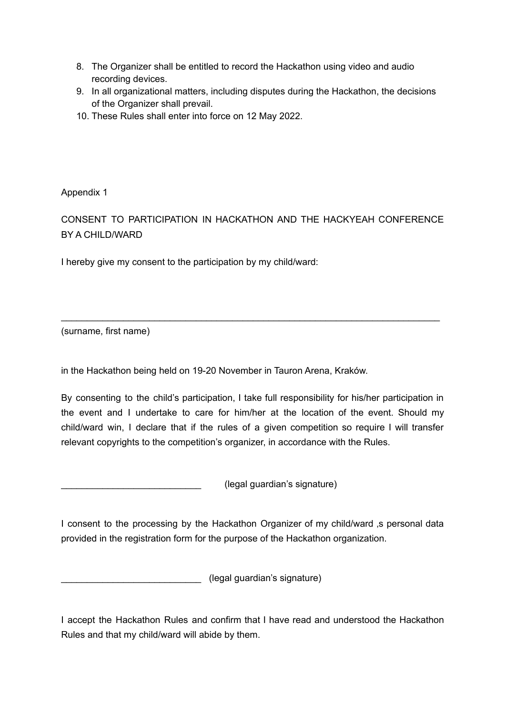- 8. The Organizer shall be entitled to record the Hackathon using video and audio recording devices.
- 9. In all organizational matters, including disputes during the Hackathon, the decisions of the Organizer shall prevail.
- 10. These Rules shall enter into force on 12 May 2022.

Appendix 1

CONSENT TO PARTICIPATION IN HACKATHON AND THE HACKYEAH CONFERENCE BY A CHILD/WARD

\_\_\_\_\_\_\_\_\_\_\_\_\_\_\_\_\_\_\_\_\_\_\_\_\_\_\_\_\_\_\_\_\_\_\_\_\_\_\_\_\_\_\_\_\_\_\_\_\_\_\_\_\_\_\_\_\_\_\_\_\_\_\_\_\_\_\_\_\_\_\_\_\_

I hereby give my consent to the participation by my child/ward:

(surname, first name)

in the Hackathon being held on 19-20 November in Tauron Arena, Kraków.

By consenting to the child's participation, I take full responsibility for his/her participation in the event and I undertake to care for him/her at the location of the event. Should my child/ward win, I declare that if the rules of a given competition so require I will transfer relevant copyrights to the competition's organizer, in accordance with the Rules.

\_\_\_\_\_\_\_\_\_\_\_\_\_\_\_\_\_\_\_\_\_\_\_\_\_\_\_ (legal guardian's signature)

I consent to the processing by the Hackathon Organizer of my child/ward ,s personal data provided in the registration form for the purpose of the Hackathon organization.

\_\_\_\_\_\_\_\_\_\_\_\_\_\_\_\_\_\_\_\_\_\_\_\_\_\_\_ (legal guardian's signature)

I accept the Hackathon Rules and confirm that I have read and understood the Hackathon Rules and that my child/ward will abide by them.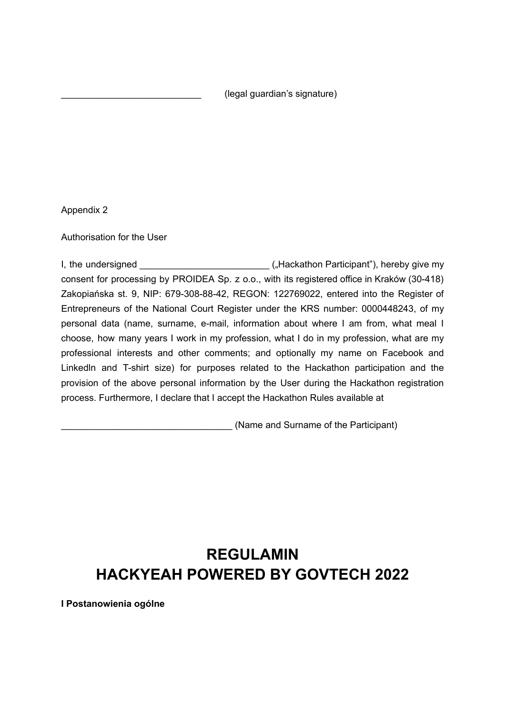\_\_\_\_\_\_\_\_\_\_\_\_\_\_\_\_\_\_\_\_\_\_\_\_\_\_\_ (legal guardian's signature)

Appendix 2

Authorisation for the User

I, the undersigned  $\left($  Hackathon Participant"), hereby give my consent for processing by PROIDEA Sp. z o.o., with its registered office in Kraków (30-418) Zakopiańska st. 9, NIP: 679-308-88-42, REGON: 122769022, entered into the Register of Entrepreneurs of the National Court Register under the KRS number: 0000448243, of my personal data (name, surname, e-mail, information about where I am from, what meal I choose, how many years I work in my profession, what I do in my profession, what are my professional interests and other comments; and optionally my name on Facebook and Linkedln and T-shirt size) for purposes related to the Hackathon participation and the provision of the above personal information by the User during the Hackathon registration process. Furthermore, I declare that I accept the Hackathon Rules available at

(Name and Surname of the Participant)

# **REGULAMIN HACKYEAH POWERED BY GOVTECH 2022**

**I Postanowienia ogólne**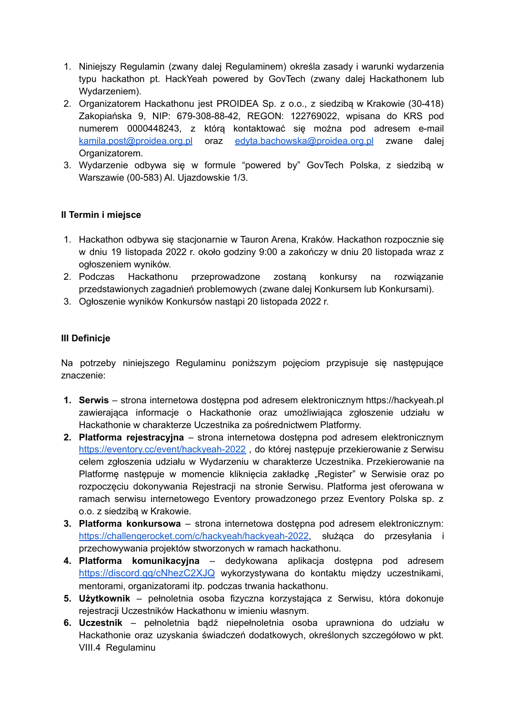- 1. Niniejszy Regulamin (zwany dalej Regulaminem) określa zasady i warunki wydarzenia typu hackathon pt. HackYeah powered by GovTech (zwany dalej Hackathonem lub Wydarzeniem).
- 2. Organizatorem Hackathonu jest PROIDEA Sp. z o.o., z siedzibą w Krakowie (30-418) Zakopiańska 9, NIP: 679-308-88-42, REGON: 122769022, wpisana do KRS pod numerem 0000448243, z którą kontaktować się można pod adresem e-mail [kamila.post@proidea.org.pl](mailto:kamila.post@proidea.org.pl) oraz [edyta.bachowska@proidea.org.pl](mailto:edyta.bachowska@proidea.org.pl) zwane dalej Organizatorem.
- 3. Wydarzenie odbywa się w formule "powered by" GovTech Polska, z siedzibą w Warszawie (00-583) Al. Ujazdowskie 1/3.

#### **II Termin i miejsce**

- 1. Hackathon odbywa się stacjonarnie w Tauron Arena, Kraków. Hackathon rozpocznie się w dniu 19 listopada 2022 r. około godziny 9:00 a zakończy w dniu 20 listopada wraz z ogłoszeniem wyników.
- 2. Podczas Hackathonu przeprowadzone zostaną konkursy na rozwiązanie przedstawionych zagadnień problemowych (zwane dalej Konkursem lub Konkursami).
- 3. Ogłoszenie wyników Konkursów nastąpi 20 listopada 2022 r.

#### **III Definicje**

Na potrzeby niniejszego Regulaminu poniższym pojęciom przypisuje się następujące znaczenie:

- **1. Serwis** strona internetowa dostępna pod adresem elektronicznym https://hackyeah.pl zawierająca informacje o Hackathonie oraz umożliwiająca zgłoszenie udziału w Hackathonie w charakterze Uczestnika za pośrednictwem Platformy.
- **2. Platforma rejestracyjna** strona internetowa dostępna pod adresem elektronicznym <https://eventory.cc/event/hackyeah-2022> , do której następuje przekierowanie z Serwisu celem zgłoszenia udziału w Wydarzeniu w charakterze Uczestnika. Przekierowanie na Platformę następuje w momencie kliknięcia zakładkę "Register" w Serwisie oraz po rozpoczęciu dokonywania Rejestracji na stronie Serwisu. Platforma jest oferowana w ramach serwisu internetowego Eventory prowadzonego przez Eventory Polska sp. z o.o. z siedzibą w Krakowie.
- **3. Platforma konkursowa** strona internetowa dostępna pod adresem elektronicznym: [https://challengerocket.com/c/hackyeah/hackyeah-2022,](https://challengerocket.com/c/hackyeah/hackyeah-2021) służąca do przesyłania i przechowywania projektów stworzonych w ramach hackathonu.
- **4. Platforma komunikacyjna** dedykowana aplikacja dostępna pod adresem <https://discord.gg/cNhezC2XJQ> wykorzystywana do kontaktu między uczestnikami, mentorami, organizatorami itp. podczas trwania hackathonu.
- **5. Użytkownik** pełnoletnia osoba fizyczna korzystająca z Serwisu, która dokonuje rejestracji Uczestników Hackathonu w imieniu własnym.
- **6. Uczestnik** pełnoletnia bądź niepełnoletnia osoba uprawniona do udziału w Hackathonie oraz uzyskania świadczeń dodatkowych, określonych szczegółowo w pkt. VIII.4 Regulaminu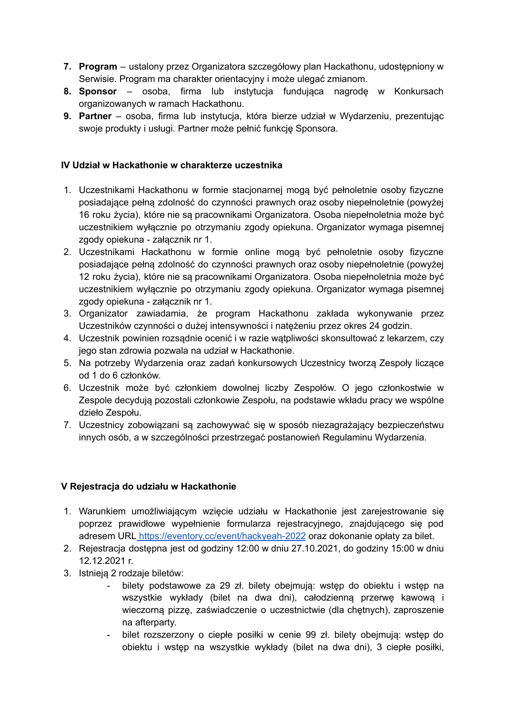- **7. Program** ustalony przez Organizatora szczegółowy plan Hackathonu, udostępniony w Serwisie. Program ma charakter orientacyjny i może ulegać zmianom.
- **8. Sponsor** osoba, firma lub instytucja fundująca nagrodę w Konkursach organizowanych w ramach Hackathonu.
- **9. Partner** osoba, firma lub instytucja, która bierze udział w Wydarzeniu, prezentując swoje produkty i usługi. Partner może pełnić funkcję Sponsora.

#### **IV Udział w Hackathonie w charakterze uczestnika**

- 1. Uczestnikami Hackathonu w formie stacjonarnej mogą być pełnoletnie osoby fizyczne posiadające pełną zdolność do czynności prawnych oraz osoby niepełnoletnie (powyżej 16 roku życia), które nie są pracownikami Organizatora. Osoba niepełnoletnia może być uczestnikiem wyłącznie po otrzymaniu zgody opiekuna. Organizator wymaga pisemnej zgody opiekuna - załącznik nr 1.
- 2. Uczestnikami Hackathonu w formie online mogą być pełnoletnie osoby fizyczne posiadające pełną zdolność do czynności prawnych oraz osoby niepełnoletnie (powyżej 12 roku życia), które nie są pracownikami Organizatora. Osoba niepełnoletnia może być uczestnikiem wyłącznie po otrzymaniu zgody opiekuna. Organizator wymaga pisemnej zgody opiekuna - załącznik nr 1.
- 3. Organizator zawiadamia, że program Hackathonu zakłada wykonywanie przez Uczestników czynności o dużej intensywności i natężeniu przez okres 24 godzin.
- 4. Uczestnik powinien rozsądnie ocenić i w razie wątpliwości skonsultować z lekarzem, czy jego stan zdrowia pozwala na udział w Hackathonie.
- 5. Na potrzeby Wydarzenia oraz zadań konkursowych Uczestnicy tworzą Zespoły liczące od 1 do 6 członków.
- 6. Uczestnik może być członkiem dowolnej liczby Zespołów. O jego członkostwie w Zespole decydują pozostali członkowie Zespołu, na podstawie wkładu pracy we wspólne dzieło Zespołu.
- 7. Uczestnicy zobowiązani są zachowywać się w sposób niezagrażający bezpieczeństwu innych osób, a w szczególności przestrzegać postanowień Regulaminu Wydarzenia.

#### **V Rejestracja do udziału w Hackathonie**

- 1. Warunkiem umożliwiającym wzięcie udziału w Hackathonie jest zarejestrowanie się poprzez prawidłowe wypełnienie formularza rejestracyjnego, znajdującego się pod adresem URL <https://eventory.cc/event/hackyeah-2022> oraz dokonanie opłaty za bilet.
- 2. Rejestracja dostępna jest od godziny 12:00 w dniu 27.10.2021, do godziny 15:00 w dniu 12.12.2021 r.
- 3. Istnieją 2 rodzaje biletów:
	- bilety podstawowe za 29 zł. bilety obejmują: wstęp do obiektu i wstęp na wszystkie wykłady (bilet na dwa dni), całodzienną przerwę kawową i wieczorną pizzę, zaświadczenie o uczestnictwie (dla chetnych), zaproszenie na afterparty.
	- bilet rozszerzony o ciepłe posiłki w cenie 99 zł. bilety obejmują: wstęp do obiektu i wstęp na wszystkie wykłady (bilet na dwa dni), 3 ciepłe posiłki,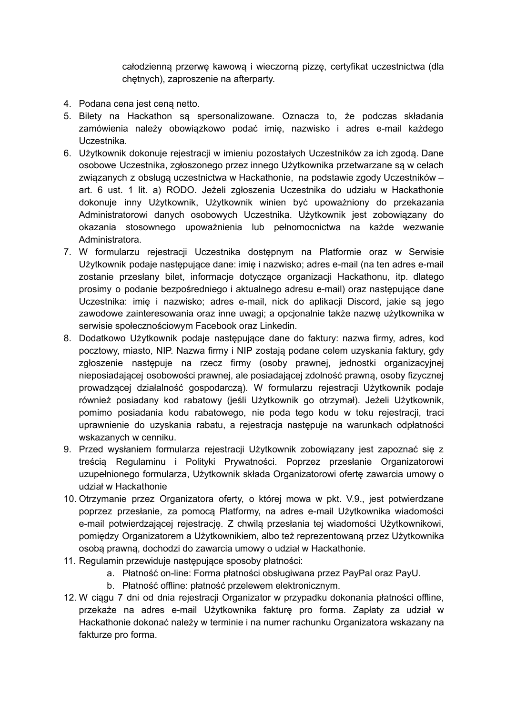całodzienną przerwę kawową i wieczorną pizzę, certyfikat uczestnictwa (dla chętnych), zaproszenie na afterparty.

- 4. Podana cena jest ceną netto.
- 5. Bilety na Hackathon są spersonalizowane. Oznacza to, że podczas składania zamówienia należy obowiązkowo podać imię, nazwisko i adres e-mail każdego Uczestnika.
- 6. Użytkownik dokonuje rejestracji w imieniu pozostałych Uczestników za ich zgodą. Dane osobowe Uczestnika, zgłoszonego przez innego Użytkownika przetwarzane są w celach związanych z obsługą uczestnictwa w Hackathonie, na podstawie zgody Uczestników – art. 6 ust. 1 lit. a) RODO. Jeżeli zgłoszenia Uczestnika do udziału w Hackathonie dokonuje inny Użytkownik, Użytkownik winien być upoważniony do przekazania Administratorowi danych osobowych Uczestnika. Użytkownik jest zobowiązany do okazania stosownego upoważnienia lub pełnomocnictwa na każde wezwanie Administratora.
- 7. W formularzu rejestracji Uczestnika dostępnym na Platformie oraz w Serwisie Użytkownik podaje następujące dane: imię i nazwisko; adres e-mail (na ten adres e-mail zostanie przesłany bilet, informacje dotyczące organizacji Hackathonu, itp. dlatego prosimy o podanie bezpośredniego i aktualnego adresu e-mail) oraz następujące dane Uczestnika: imię i nazwisko; adres e-mail, nick do aplikacji Discord, jakie są jego zawodowe zainteresowania oraz inne uwagi; a opcjonalnie także nazwę użytkownika w serwisie społecznościowym Facebook oraz Linkedin.
- 8. Dodatkowo Użytkownik podaje następujące dane do faktury: nazwa firmy, adres, kod pocztowy, miasto, NIP. Nazwa firmy i NIP zostają podane celem uzyskania faktury, gdy zgłoszenie następuje na rzecz firmy (osoby prawnej, jednostki organizacyjnej nieposiadającej osobowości prawnej, ale posiadającej zdolność prawną, osoby fizycznej prowadzącej działalność gospodarczą). W formularzu rejestracji Użytkownik podaje również posiadany kod rabatowy (jeśli Użytkownik go otrzymał). Jeżeli Użytkownik, pomimo posiadania kodu rabatowego, nie poda tego kodu w toku rejestracji, traci uprawnienie do uzyskania rabatu, a rejestracja następuje na warunkach odpłatności wskazanych w cenniku.
- 9. Przed wysłaniem formularza rejestracji Użytkownik zobowiązany jest zapoznać się z treścią Regulaminu i Polityki Prywatności. Poprzez przesłanie Organizatorowi uzupełnionego formularza, Użytkownik składa Organizatorowi ofertę zawarcia umowy o udział w Hackathonie
- 10. Otrzymanie przez Organizatora oferty, o której mowa w pkt. V.9., jest potwierdzane poprzez przesłanie, za pomocą Platformy, na adres e-mail Użytkownika wiadomości e-mail potwierdzającej rejestrację. Z chwilą przesłania tej wiadomości Użytkownikowi, pomiędzy Organizatorem a Użytkownikiem, albo też reprezentowaną przez Użytkownika osobą prawną, dochodzi do zawarcia umowy o udział w Hackathonie.
- 11. Regulamin przewiduje następujące sposoby płatności:
	- a. Płatność on-line: Forma płatności obsługiwana przez PayPal oraz PayU.
	- b. Płatność offline: płatność przelewem elektronicznym.
- 12. W ciągu 7 dni od dnia rejestracji Organizator w przypadku dokonania płatności offline, przekaże na adres e-mail Użytkownika fakturę pro forma. Zapłaty za udział w Hackathonie dokonać należy w terminie i na numer rachunku Organizatora wskazany na fakturze pro forma.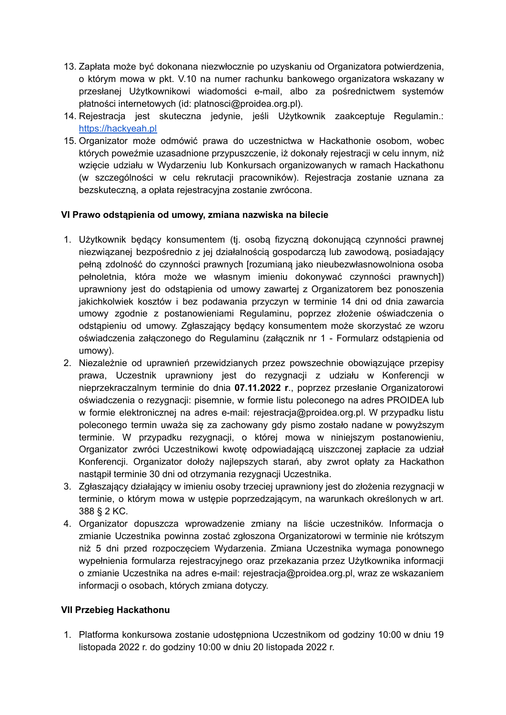- 13. Zapłata może być dokonana niezwłocznie po uzyskaniu od Organizatora potwierdzenia, o którym mowa w pkt. V.10 na numer rachunku bankowego organizatora wskazany w przesłanej Użytkownikowi wiadomości e-mail, albo za pośrednictwem systemów płatności internetowych (id: platnosci@proidea.org.pl).
- 14. Rejestracja jest skuteczna jedynie, jeśli Użytkownik zaakceptuje Regulamin.: [https://hackyeah.pl](https://hackyeah.pl/regulamin-2020/)
- 15. Organizator może odmówić prawa do uczestnictwa w Hackathonie osobom, wobec których poweźmie uzasadnione przypuszczenie, iż dokonały rejestracji w celu innym, niż wzięcie udziału w Wydarzeniu lub Konkursach organizowanych w ramach Hackathonu (w szczególności w celu rekrutacji pracowników). Rejestracja zostanie uznana za bezskuteczną, a opłata rejestracyjna zostanie zwrócona.

#### **VI Prawo odstąpienia od umowy, zmiana nazwiska na bilecie**

- 1. Użytkownik będący konsumentem (tj. osobą fizyczną dokonującą czynności prawnej niezwiązanej bezpośrednio z jej działalnością gospodarczą lub zawodową, posiadający pełną zdolność do czynności prawnych [rozumianą jako nieubezwłasnowolniona osoba pełnoletnia, która może we własnym imieniu dokonywać czynności prawnych]) uprawniony jest do odstąpienia od umowy zawartej z Organizatorem bez ponoszenia jakichkolwiek kosztów i bez podawania przyczyn w terminie 14 dni od dnia zawarcia umowy zgodnie z postanowieniami Regulaminu, poprzez złożenie oświadczenia o odstąpieniu od umowy. Zgłaszający będący konsumentem może skorzystać ze wzoru oświadczenia załączonego do Regulaminu (załącznik nr 1 - Formularz odstąpienia od umowy).
- 2. Niezależnie od uprawnień przewidzianych przez powszechnie obowiązujące przepisy prawa, Uczestnik uprawniony jest do rezygnacji z udziału w Konferencji w nieprzekraczalnym terminie do dnia **07.11.2022 r**., poprzez przesłanie Organizatorowi oświadczenia o rezygnacji: pisemnie, w formie listu poleconego na adres PROIDEA lub w formie elektronicznej na adres e-mail: rejestracja@proidea.org.pl. W przypadku listu poleconego termin uważa się za zachowany gdy pismo zostało nadane w powyższym terminie. W przypadku rezygnacji, o której mowa w niniejszym postanowieniu, Organizator zwróci Uczestnikowi kwotę odpowiadającą uiszczonej zapłacie za udział Konferencji. Organizator dołoży najlepszych starań, aby zwrot opłaty za Hackathon nastąpił terminie 30 dni od otrzymania rezygnacji Uczestnika.
- 3. Zgłaszający działający w imieniu osoby trzeciej uprawniony jest do złożenia rezygnacji w terminie, o którym mowa w ustępie poprzedzającym, na warunkach określonych w art. 388 § 2 KC.
- 4. Organizator dopuszcza wprowadzenie zmiany na liście uczestników. Informacja o zmianie Uczestnika powinna zostać zgłoszona Organizatorowi w terminie nie krótszym niż 5 dni przed rozpoczęciem Wydarzenia. Zmiana Uczestnika wymaga ponownego wypełnienia formularza rejestracyjnego oraz przekazania przez Użytkownika informacji o zmianie Uczestnika na adres e-mail: rejestracja@proidea.org.pl, wraz ze wskazaniem informacji o osobach, których zmiana dotyczy.

#### **VII Przebieg Hackathonu**

1. Platforma konkursowa zostanie udostępniona Uczestnikom od godziny 10:00 w dniu 19 listopada 2022 r. do godziny 10:00 w dniu 20 listopada 2022 r.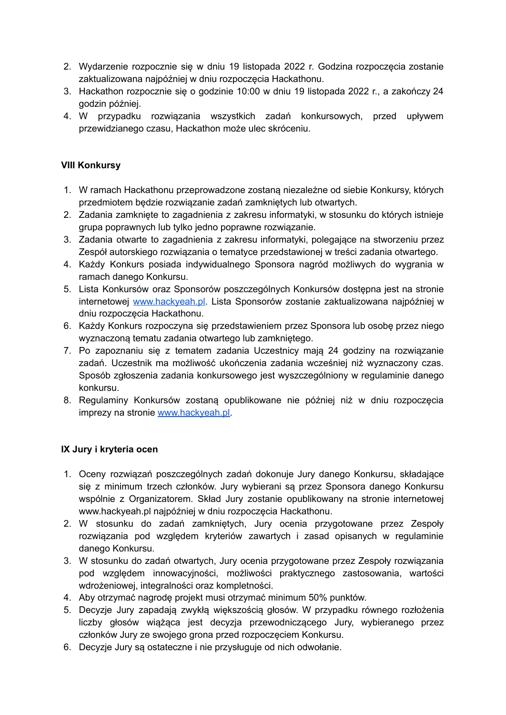- 2. Wydarzenie rozpocznie się w dniu 19 listopada 2022 r. Godzina rozpoczęcia zostanie zaktualizowana najpóźniej w dniu rozpoczęcia Hackathonu.
- 3. Hackathon rozpocznie się o godzinie 10:00 w dniu 19 listopada 2022 r., a zakończy 24 godzin później.
- 4. W przypadku rozwiązania wszystkich zadań konkursowych, przed upływem przewidzianego czasu, Hackathon może ulec skróceniu.

#### **VIII Konkursy**

- 1. W ramach Hackathonu przeprowadzone zostaną niezależne od siebie Konkursy, których przedmiotem będzie rozwiązanie zadań zamkniętych lub otwartych.
- 2. Zadania zamknięte to zagadnienia z zakresu informatyki, w stosunku do których istnieje grupa poprawnych lub tylko jedno poprawne rozwiązanie.
- 3. Zadania otwarte to zagadnienia z zakresu informatyki, polegające na stworzeniu przez Zespół autorskiego rozwiązania o tematyce przedstawionej w treści zadania otwartego.
- 4. Każdy Konkurs posiada indywidualnego Sponsora nagród możliwych do wygrania w ramach danego Konkursu.
- 5. Lista Konkursów oraz Sponsorów poszczególnych Konkursów dostępna jest na stronie internetowej [www.hackyeah.pl.](http://www.hackyeah.pl) Lista Sponsorów zostanie zaktualizowana najpóźniej w dniu rozpoczęcia Hackathonu.
- 6. Każdy Konkurs rozpoczyna się przedstawieniem przez Sponsora lub osobę przez niego wyznaczoną tematu zadania otwartego lub zamkniętego.
- 7. Po zapoznaniu się z tematem zadania Uczestnicy mają 24 godziny na rozwiązanie zadań. Uczestnik ma możliwość ukończenia zadania wcześniej niż wyznaczony czas. Sposób zgłoszenia zadania konkursowego jest wyszczególniony w regulaminie danego konkursu.
- 8. Regulaminy Konkursów zostaną opublikowane nie później niż w dniu rozpoczęcia imprezy na stronie [www.hackyeah.pl.](http://www.hackyeah.pl)

#### **IX Jury i kryteria ocen**

- 1. Oceny rozwiązań poszczególnych zadań dokonuje Jury danego Konkursu, składające się z minimum trzech członków. Jury wybierani są przez Sponsora danego Konkursu wspólnie z Organizatorem. Skład Jury zostanie opublikowany na stronie internetowej www.hackyeah.pl najpóźniej w dniu rozpoczęcia Hackathonu.
- 2. W stosunku do zadań zamkniętych, Jury ocenia przygotowane przez Zespoły rozwiązania pod względem kryteriów zawartych i zasad opisanych w regulaminie danego Konkursu.
- 3. W stosunku do zadań otwartych, Jury ocenia przygotowane przez Zespoły rozwiązania pod względem innowacyjności, możliwości praktycznego zastosowania, wartości wdrożeniowej, integralności oraz kompletności.
- 4. Aby otrzymać nagrodę projekt musi otrzymać minimum 50% punktów.
- 5. Decyzje Jury zapadają zwykłą większością głosów. W przypadku równego rozłożenia liczby głosów wiążąca jest decyzja przewodniczącego Jury, wybieranego przez członków Jury ze swojego grona przed rozpoczęciem Konkursu.
- 6. Decyzje Jury są ostateczne i nie przysługuje od nich odwołanie.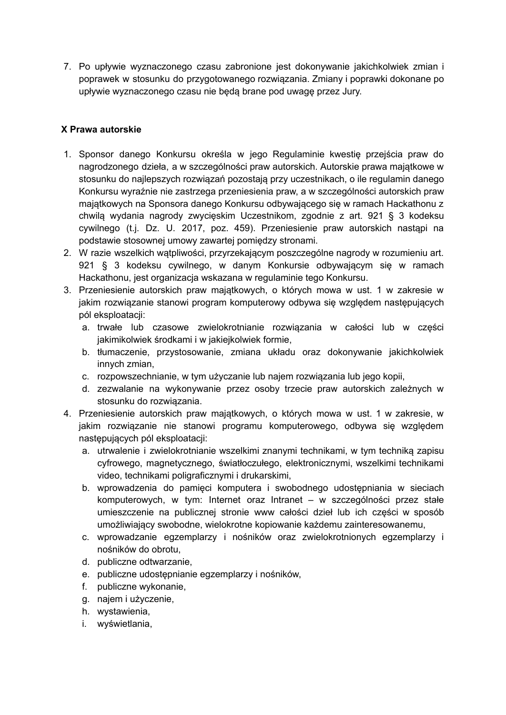7. Po upływie wyznaczonego czasu zabronione jest dokonywanie jakichkolwiek zmian i poprawek w stosunku do przygotowanego rozwiązania. Zmiany i poprawki dokonane po upływie wyznaczonego czasu nie będą brane pod uwagę przez Jury.

#### **X Prawa autorskie**

- 1. Sponsor danego Konkursu określa w jego Regulaminie kwestię przejścia praw do nagrodzonego dzieła, a w szczególności praw autorskich. Autorskie prawa majątkowe w stosunku do najlepszych rozwiązań pozostają przy uczestnikach, o ile regulamin danego Konkursu wyraźnie nie zastrzega przeniesienia praw, a w szczególności autorskich praw majątkowych na Sponsora danego Konkursu odbywającego się w ramach Hackathonu z chwilą wydania nagrody zwycięskim Uczestnikom, zgodnie z art. 921 § 3 kodeksu cywilnego (t.j. Dz. U. 2017, poz. 459). Przeniesienie praw autorskich nastąpi na podstawie stosownej umowy zawartej pomiędzy stronami.
- 2. W razie wszelkich wątpliwości, przyrzekającym poszczególne nagrody w rozumieniu art. 921 § 3 kodeksu cywilnego, w danym Konkursie odbywającym się w ramach Hackathonu, jest organizacja wskazana w regulaminie tego Konkursu.
- 3. Przeniesienie autorskich praw majątkowych, o których mowa w ust. 1 w zakresie w jakim rozwiązanie stanowi program komputerowy odbywa się względem następujących pól eksploatacji:
	- a. trwałe lub czasowe zwielokrotnianie rozwiązania w całości lub w części jakimikolwiek środkami i w jakiejkolwiek formie,
	- b. tłumaczenie, przystosowanie, zmiana układu oraz dokonywanie jakichkolwiek innych zmian,
	- c. rozpowszechnianie, w tym użyczanie lub najem rozwiązania lub jego kopii,
	- d. zezwalanie na wykonywanie przez osoby trzecie praw autorskich zależnych w stosunku do rozwiązania.
- 4. Przeniesienie autorskich praw majątkowych, o których mowa w ust. 1 w zakresie, w jakim rozwiązanie nie stanowi programu komputerowego, odbywa się względem następujących pól eksploatacji:
	- a. utrwalenie i zwielokrotnianie wszelkimi znanymi technikami, w tym techniką zapisu cyfrowego, magnetycznego, światłoczułego, elektronicznymi, wszelkimi technikami video, technikami poligraficznymi i drukarskimi,
	- b. wprowadzenia do pamięci komputera i swobodnego udostępniania w sieciach komputerowych, w tym: Internet oraz Intranet – w szczególności przez stałe umieszczenie na publicznej stronie www całości dzieł lub ich części w sposób umożliwiający swobodne, wielokrotne kopiowanie każdemu zainteresowanemu,
	- c. wprowadzanie egzemplarzy i nośników oraz zwielokrotnionych egzemplarzy i nośników do obrotu,
	- d. publiczne odtwarzanie,
	- e. publiczne udostępnianie egzemplarzy i nośników,
	- f. publiczne wykonanie,
	- g. najem i użyczenie,
	- h. wystawienia,
	- i. wyświetlania,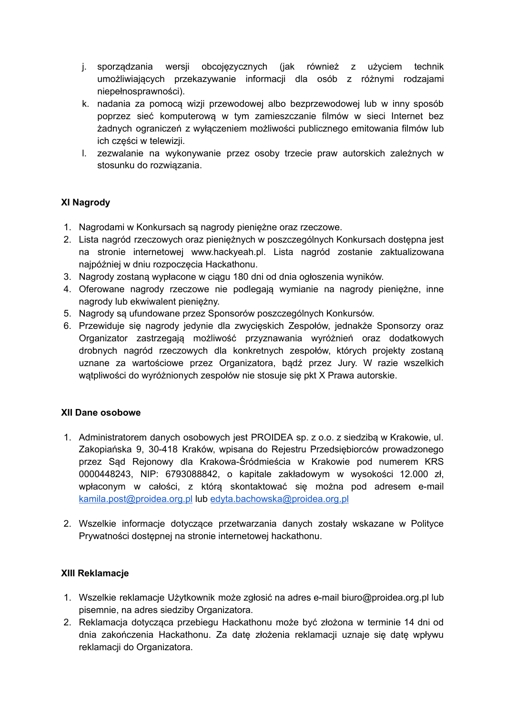- j. sporządzania wersji obcojęzycznych (jak również z użyciem technik umożliwiających przekazywanie informacji dla osób z różnymi rodzajami niepełnosprawności).
- k. nadania za pomocą wizji przewodowej albo bezprzewodowej lub w inny sposób poprzez sieć komputerową w tym zamieszczanie filmów w sieci Internet bez żadnych ograniczeń z wyłączeniem możliwości publicznego emitowania filmów lub ich części w telewizji.
- l. zezwalanie na wykonywanie przez osoby trzecie praw autorskich zależnych w stosunku do rozwiązania.

#### **XI Nagrody**

- 1. Nagrodami w Konkursach są nagrody pieniężne oraz rzeczowe.
- 2. Lista nagród rzeczowych oraz pieniężnych w poszczególnych Konkursach dostępna jest na stronie internetowej www.hackyeah.pl. Lista nagród zostanie zaktualizowana najpóźniej w dniu rozpoczęcia Hackathonu.
- 3. Nagrody zostaną wypłacone w ciągu 180 dni od dnia ogłoszenia wyników.
- 4. Oferowane nagrody rzeczowe nie podlegają wymianie na nagrody pieniężne, inne nagrody lub ekwiwalent pieniężny.
- 5. Nagrody są ufundowane przez Sponsorów poszczególnych Konkursów.
- 6. Przewiduje się nagrody jedynie dla zwycięskich Zespołów, jednakże Sponsorzy oraz Organizator zastrzegają możliwość przyznawania wyróżnień oraz dodatkowych drobnych nagród rzeczowych dla konkretnych zespołów, których projekty zostaną uznane za wartościowe przez Organizatora, bądź przez Jury. W razie wszelkich wątpliwości do wyróżnionych zespołów nie stosuje się pkt X Prawa autorskie.

#### **XII Dane osobowe**

- 1. Administratorem danych osobowych jest PROIDEA sp. z o.o. z siedzibą w Krakowie, ul. Zakopiańska 9, 30-418 Kraków, wpisana do Rejestru Przedsiębiorców prowadzonego przez Sąd Rejonowy dla Krakowa-Śródmieścia w Krakowie pod numerem KRS 0000448243, NIP: 6793088842, o kapitale zakładowym w wysokości 12.000 zł, wpłaconym w całości, z którą skontaktować się można pod adresem e-mail [kamila.post@proidea.org.pl](mailto:kamila.post@proidea.org.pl) lub [edyta.bachowska@proidea.org.pl](mailto:edyta.bachowska@proidea.org.pl)
- 2. Wszelkie informacje dotyczące przetwarzania danych zostały wskazane w Polityce Prywatności dostępnej na stronie internetowej hackathonu.

#### **XIII Reklamacje**

- 1. Wszelkie reklamacje Użytkownik może zgłosić na adres e-mail biuro@proidea.org.pl lub pisemnie, na adres siedziby Organizatora.
- 2. Reklamacja dotycząca przebiegu Hackathonu może być złożona w terminie 14 dni od dnia zakończenia Hackathonu. Za datę złożenia reklamacji uznaje się datę wpływu reklamacji do Organizatora.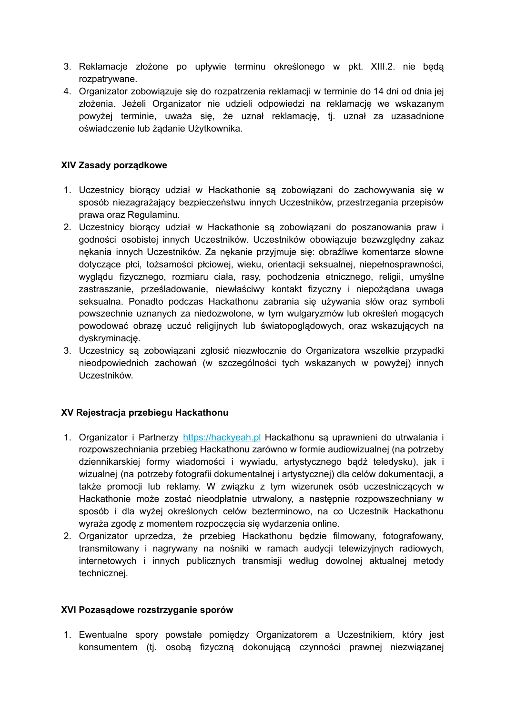- 3. Reklamacje złożone po upływie terminu określonego w pkt. XIII.2. nie będą rozpatrywane.
- 4. Organizator zobowiązuje się do rozpatrzenia reklamacji w terminie do 14 dni od dnia jej złożenia. Jeżeli Organizator nie udzieli odpowiedzi na reklamację we wskazanym powyżej terminie, uważa się, że uznał reklamację, tj. uznał za uzasadnione oświadczenie lub żądanie Użytkownika.

#### **XIV Zasady porządkowe**

- 1. Uczestnicy biorący udział w Hackathonie są zobowiązani do zachowywania się w sposób niezagrażający bezpieczeństwu innych Uczestników, przestrzegania przepisów prawa oraz Regulaminu.
- 2. Uczestnicy biorący udział w Hackathonie są zobowiązani do poszanowania praw i godności osobistej innych Uczestników. Uczestników obowiązuje bezwzględny zakaz nękania innych Uczestników. Za nękanie przyjmuje się: obraźliwe komentarze słowne dotyczące płci, tożsamości płciowej, wieku, orientacji seksualnej, niepełnosprawności, wyglądu fizycznego, rozmiaru ciała, rasy, pochodzenia etnicznego, religii, umyślne zastraszanie, prześladowanie, niewłaściwy kontakt fizyczny i niepożądana uwaga seksualna. Ponadto podczas Hackathonu zabrania się używania słów oraz symboli powszechnie uznanych za niedozwolone, w tym wulgaryzmów lub określeń mogących powodować obrazę uczuć religijnych lub światopoglądowych, oraz wskazujących na dyskryminację.
- 3. Uczestnicy są zobowiązani zgłosić niezwłocznie do Organizatora wszelkie przypadki nieodpowiednich zachowań (w szczególności tych wskazanych w powyżej) innych Uczestników.

#### **XV Rejestracja przebiegu Hackathonu**

- 1. Organizator i Partnerzy [https://hackyeah.pl](https://hackyeah.pl/partners-list-june-2020/) Hackathonu są uprawnieni do utrwalania i rozpowszechniania przebieg Hackathonu zarówno w formie audiowizualnej (na potrzeby dziennikarskiej formy wiadomości i wywiadu, artystycznego bądź teledysku), jak i wizualnej (na potrzeby fotografii dokumentalnej i artystycznej) dla celów dokumentacji, a także promocji lub reklamy. W związku z tym wizerunek osób uczestniczących w Hackathonie może zostać nieodpłatnie utrwalony, a następnie rozpowszechniany w sposób i dla wyżej określonych celów bezterminowo, na co Uczestnik Hackathonu wyraża zgodę z momentem rozpoczęcia się wydarzenia online.
- 2. Organizator uprzedza, że przebieg Hackathonu będzie filmowany, fotografowany, transmitowany i nagrywany na nośniki w ramach audycji telewizyjnych radiowych, internetowych i innych publicznych transmisji według dowolnej aktualnej metody technicznej.

#### **XVI Pozasądowe rozstrzyganie sporów**

1. Ewentualne spory powstałe pomiędzy Organizatorem a Uczestnikiem, który jest konsumentem (tj. osobą fizyczną dokonującą czynności prawnej niezwiązanej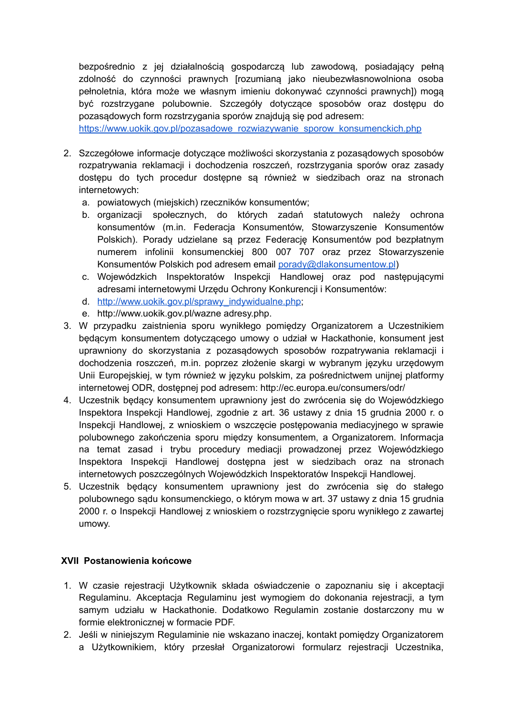bezpośrednio z jej działalnością gospodarczą lub zawodową, posiadający pełną zdolność do czynności prawnych [rozumianą jako nieubezwłasnowolniona osoba pełnoletnia, która może we własnym imieniu dokonywać czynności prawnych]) mogą być rozstrzygane polubownie. Szczegóły dotyczące sposobów oraz dostępu do pozasądowych form rozstrzygania sporów znajdują się pod adresem:

[https://www.uokik.gov.pl/pozasadowe\\_rozwiazywanie\\_sporow\\_konsumenckich.php](https://www.uokik.gov.pl/pozasadowe_rozwiazywanie_sporow_konsumenckich.php)

- 2. Szczegółowe informacje dotyczące możliwości skorzystania z pozasądowych sposobów rozpatrywania reklamacji i dochodzenia roszczeń, rozstrzygania sporów oraz zasady dostępu do tych procedur dostępne są również w siedzibach oraz na stronach internetowych:
	- a. powiatowych (miejskich) rzeczników konsumentów;
	- b. organizacji społecznych, do których zadań statutowych należy ochrona konsumentów (m.in. Federacja Konsumentów, Stowarzyszenie Konsumentów Polskich). Porady udzielane są przez Federację Konsumentów pod bezpłatnym numerem infolinii konsumenckiej 800 007 707 oraz przez Stowarzyszenie Konsumentów Polskich pod adresem email [porady@dlakonsumentow.pl](mailto:porady@dlakonsumentow.pl))
	- c. Wojewódzkich Inspektoratów Inspekcji Handlowej oraz pod następującymi adresami internetowymi Urzędu Ochrony Konkurencji i Konsumentów:
	- d. [http://www.uokik.gov.pl/sprawy\\_indywidualne.php;](http://www.uokik.gov.pl/sprawy_indywidualne.php)
	- e. http://www.uokik.gov.pl/wazne adresy.php.
- 3. W przypadku zaistnienia sporu wynikłego pomiędzy Organizatorem a Uczestnikiem będącym konsumentem dotyczącego umowy o udział w Hackathonie, konsument jest uprawniony do skorzystania z pozasądowych sposobów rozpatrywania reklamacji i dochodzenia roszczeń, m.in. poprzez złożenie skargi w wybranym języku urzędowym Unii Europejskiej, w tym również w języku polskim, za pośrednictwem unijnej platformy internetowej ODR, dostępnej pod adresem: http://ec.europa.eu/consumers/odr/
- 4. Uczestnik będący konsumentem uprawniony jest do zwrócenia się do Wojewódzkiego Inspektora Inspekcji Handlowej, zgodnie z art. 36 ustawy z dnia 15 grudnia 2000 r. o Inspekcji Handlowej, z wnioskiem o wszczęcie postępowania mediacyjnego w sprawie polubownego zakończenia sporu między konsumentem, a Organizatorem. Informacja na temat zasad i trybu procedury mediacji prowadzonej przez Wojewódzkiego Inspektora Inspekcji Handlowej dostępna jest w siedzibach oraz na stronach internetowych poszczególnych Wojewódzkich Inspektoratów Inspekcji Handlowej.
- 5. Uczestnik będący konsumentem uprawniony jest do zwrócenia się do stałego polubownego sądu konsumenckiego, o którym mowa w art. 37 ustawy z dnia 15 grudnia 2000 r. o Inspekcji Handlowej z wnioskiem o rozstrzygnięcie sporu wynikłego z zawartej umowy.

#### **XVII Postanowienia końcowe**

- 1. W czasie rejestracji Użytkownik składa oświadczenie o zapoznaniu się i akceptacji Regulaminu. Akceptacja Regulaminu jest wymogiem do dokonania rejestracji, a tym samym udziału w Hackathonie. Dodatkowo Regulamin zostanie dostarczony mu w formie elektronicznej w formacie PDF.
- 2. Jeśli w niniejszym Regulaminie nie wskazano inaczej, kontakt pomiędzy Organizatorem a Użytkownikiem, który przesłał Organizatorowi formularz rejestracji Uczestnika,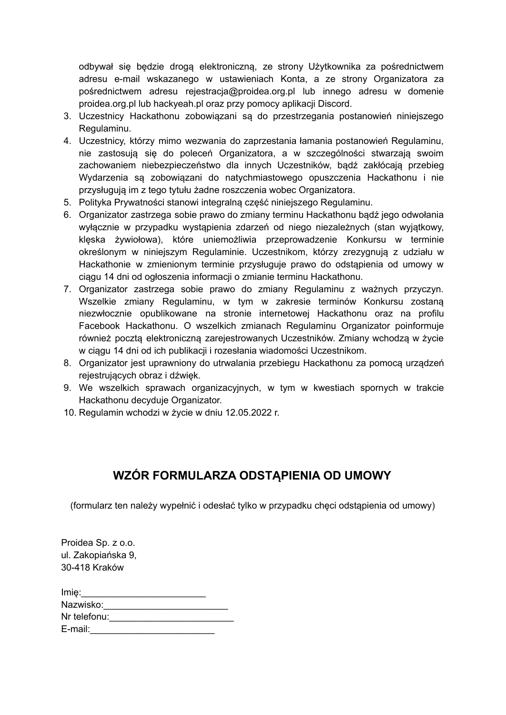odbywał się będzie drogą elektroniczną, ze strony Użytkownika za pośrednictwem adresu e-mail wskazanego w ustawieniach Konta, a ze strony Organizatora za pośrednictwem adresu rejestracja@proidea.org.pl lub innego adresu w domenie proidea.org.pl lub hackyeah.pl oraz przy pomocy aplikacji Discord.

- 3. Uczestnicy Hackathonu zobowiązani są do przestrzegania postanowień niniejszego Regulaminu.
- 4. Uczestnicy, którzy mimo wezwania do zaprzestania łamania postanowień Regulaminu, nie zastosują się do poleceń Organizatora, a w szczególności stwarzają swoim zachowaniem niebezpieczeństwo dla innych Uczestników, bądź zakłócają przebieg Wydarzenia są zobowiązani do natychmiastowego opuszczenia Hackathonu i nie przysługują im z tego tytułu żadne roszczenia wobec Organizatora.
- 5. Polityka Prywatności stanowi integralną część niniejszego Regulaminu.
- 6. Organizator zastrzega sobie prawo do zmiany terminu Hackathonu bądź jego odwołania wyłącznie w przypadku wystąpienia zdarzeń od niego niezależnych (stan wyjątkowy, klęska żywiołowa), które uniemożliwia przeprowadzenie Konkursu w terminie określonym w niniejszym Regulaminie. Uczestnikom, którzy zrezygnują z udziału w Hackathonie w zmienionym terminie przysługuje prawo do odstąpienia od umowy w ciągu 14 dni od ogłoszenia informacji o zmianie terminu Hackathonu.
- 7. Organizator zastrzega sobie prawo do zmiany Regulaminu z ważnych przyczyn. Wszelkie zmiany Regulaminu, w tym w zakresie terminów Konkursu zostaną niezwłocznie opublikowane na stronie internetowej Hackathonu oraz na profilu Facebook Hackathonu. O wszelkich zmianach Regulaminu Organizator poinformuje również pocztą elektroniczną zarejestrowanych Uczestników. Zmiany wchodzą w życie w ciągu 14 dni od ich publikacji i rozesłania wiadomości Uczestnikom.
- 8. Organizator jest uprawniony do utrwalania przebiegu Hackathonu za pomocą urządzeń rejestrujących obraz i dźwięk.
- 9. We wszelkich sprawach organizacyjnych, w tym w kwestiach spornych w trakcie Hackathonu decyduje Organizator.
- 10. Regulamin wchodzi w życie w dniu 12.05.2022 r.

## **WZÓR FORMULARZA ODSTĄPIENIA OD UMOWY**

(formularz ten należy wypełnić i odesłać tylko w przypadku chęci odstąpienia od umowy)

Proidea Sp. z o.o. ul. Zakopiańska 9, 30-418 Kraków

| Imie:        |  |
|--------------|--|
| Nazwisko:    |  |
| Nr telefonu: |  |
| E-mail:      |  |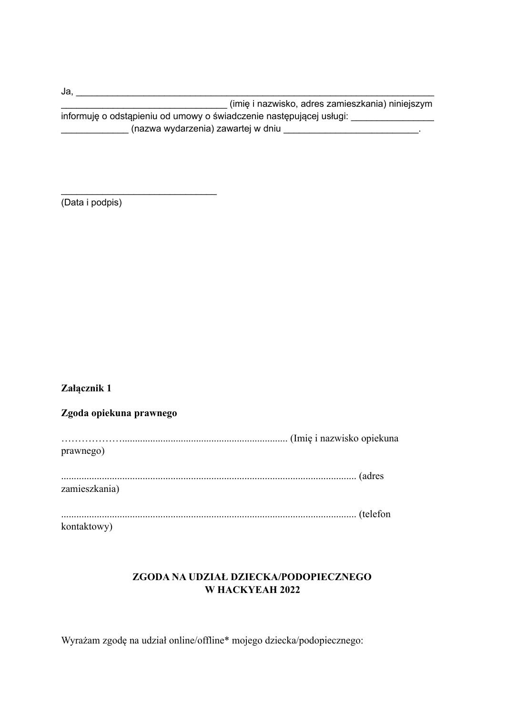| Ja.                                                                 |  |
|---------------------------------------------------------------------|--|
| (imię i nazwisko, adres zamieszkania) niniejszym                    |  |
| informuję o odstąpieniu od umowy o świadczenie następującej usługi: |  |
| (nazwa wydarzenia) zawartej w dniu                                  |  |

(Data i podpis)

\_\_\_\_\_\_\_\_\_\_\_\_\_\_\_\_\_\_\_\_\_\_\_\_\_\_\_\_\_\_

### **Załącznik 1**

# **Zgoda opiekuna prawnego** ………………................................................................. (Imię i nazwisko opiekuna prawnego) .................................................................................................................... (adres zamieszkania) .................................................................................................................... (telefon kontaktowy)

### **ZGODA NA UDZIAŁ DZIECKA/PODOPIECZNEGO W HACKYEAH 2022**

Wyrażam zgodę na udział online/offline\* mojego dziecka/podopiecznego: